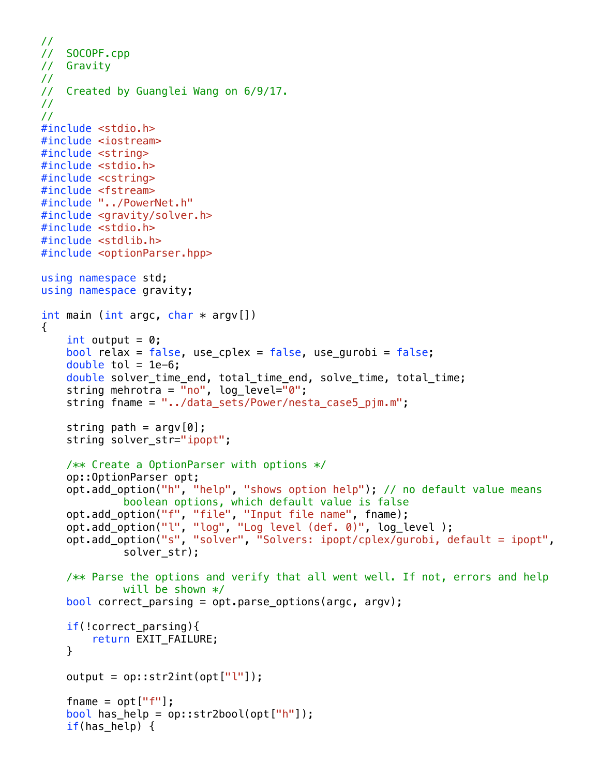```
//
// SOCOPF.cpp
// Gravity
//
// Created by Guanglei Wang on 6/9/17.
//
//
#include <stdio.h>
#include <iostream>
#include <string>
#include <stdio.h>
#include <cstring>
#include <fstream>
#include "../PowerNet.h"
#include <gravity/solver.h>
#include <stdio.h>
#include <stdlib.h>
#include <optionParser.hpp>
using namespace std;
using namespace gravity;
int main (int argc, char * argv[])
{
    int output = 0;
    bool relax = false, use cplex = false, use qurobi = false;
    double tol = 1e-6;
     double solver_time_end, total_time_end, solve_time, total_time;
    string mehrotra = "no", log\_level="0";
     string fname = "../data_sets/Power/nesta_case5_pjm.m";
    string path = argv[0];
     string solver_str="ipopt";
     /** Create a OptionParser with options */
     op::OptionParser opt;
     opt.add_option("h", "help", "shows option help"); // no default value means 
             boolean options, which default value is false
 opt.add_option("f", "file", "Input file name", fname);
 opt.add_option("l", "log", "Log level (def. 0)", log_level );
 opt.add_option("s", "solver", "Solvers: ipopt/cplex/gurobi, default = ipopt", 
             solver str);
     /** Parse the options and verify that all went well. If not, errors and help 
             will be shown */bool correct_parsing = opt.parse_options(argc, argv);
    if(!correct parsing){
         return EXIT_FAILURE;
     }
    output = op::str2int(opt["[""]));fname = opt["f"];
    bool has_help = op::str2bool(opt["h"]);
     if(has_help) {
```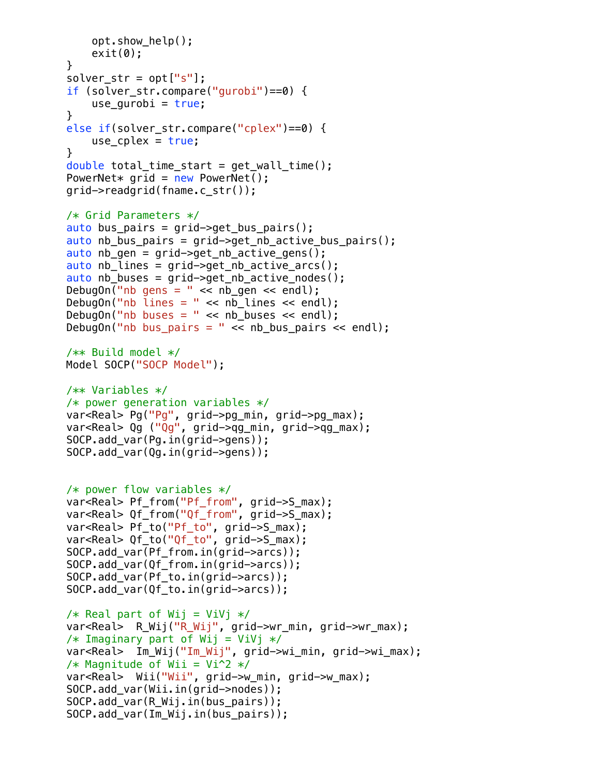```
 opt.show_help();
    exit(0); }
solver str = opt['s"];
 if (solver_str.compare("gurobi")==0) {
    use qurobi = true; }
 else if(solver_str.compare("cplex")==0) {
    use_cplex = true; }
 double total_time_start = get_wall_time();
PowerNet* grid = new PowerNet();
 grid->readgrid(fname.c_str());
 /* Grid Parameters */
auto bus pairs = grid->get bus pairs();
auto nb bus pairs = grid->get nb active bus pairs();
auto nb gen = grid->get nb active gens();
auto nb lines = grid->get nb active arcs();
auto nb_buses = grid->get_nb_active_nodes();DebugOn("nb gens = " << nb\_gen << endl);
DebugOn("nb \overline{l} ines = " << nb \overline{l} lines << endl);
DebugOn("nb buses = " \lt nb buses \lt endl);
 DebugOn("nb bus_pairs = " << nb_bus_pairs << endl);
 /** Build model */
 Model SOCP("SOCP Model");
 /** Variables */
 /* power generation variables */
var<Real> Pg("Pg", grid->pg_min, grid->pg_max);
 var<Real> Qg ("Qg", grid->qg_min, grid->qg_max);
 SOCP.add_var(Pg.in(grid->gens));
 SOCP.add_var(Qg.in(grid->gens));
 /* power flow variables */
 var<Real> Pf_from("Pf_from", grid->S_max);
 var<Real> Qf_from("Qf_from", grid->S_max);
var<Real> Pf_to("Pf_to", grid->S_max);
var<Real> Qf to("Qf to", grid->S max);
SOCP.add var(Pf from.in(grid->arcs));
 SOCP.add_var(Qf_from.in(grid->arcs));
 SOCP.add_var(Pf_to.in(grid->arcs));
 SOCP.add_var(Qf_to.in(grid->arcs));
/* Real part of Wij = ViVj */ var<Real> R_Wij("R_Wij", grid->wr_min, grid->wr_max);
/* Imaginary part of Wij = ViVj */ var<Real> Im_Wij("Im_Wij", grid->wi_min, grid->wi_max);
/* Magnitude of Wii = Vi^2 */
var<Real> Wii("Wii", grid->w_min, grid->w_max);
 SOCP.add_var(Wii.in(grid->nodes));
 SOCP.add_var(R_Wij.in(bus_pairs));
 SOCP.add_var(Im_Wij.in(bus_pairs));
```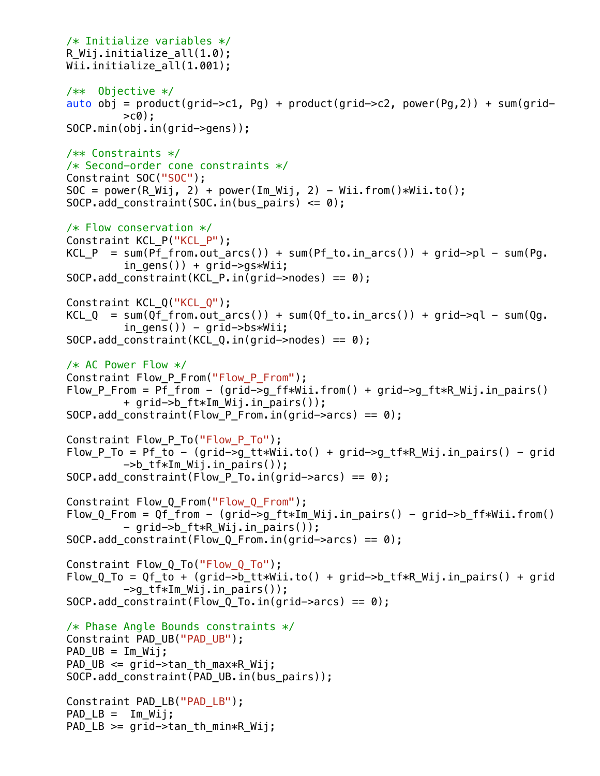```
 /* Initialize variables */
R Wij.initialize all(1.0);
Wii.initialize all(1.001);
 /** Objective */
auto obj = product(grid->c1, Pg) + product(grid->c2, power(Pg,2)) + sum(grid-
         >c0);
 SOCP.min(obj.in(grid->gens));
 /** Constraints */
 /* Second-order cone constraints */
 Constraint SOC("SOC");
SOC = power(R_Wij, 2) + power(Im_Wij, 2) - Wii.from()*Wii.to();
SOCP.add_{constraint}(SOC.in(bus_{pairs}) \le 0); /* Flow conservation */
 Constraint KCL_P("KCL_P");
KCL_P = sum(Pf_from.out_arcs()) + sum(Pf_to.in_arcs()) + grid->pl - sum(Pq.in qens()) + qrid->qs*Wii;SOCP.add constraint(KCL P.in(grid->nodes) == \theta);
Constraint KCL Q("KCL Q");
KCL Q = sum(Qf from.out arcs()) + sum(Qf to.in arcs()) + grid-2q - sum(Qq.in qens()) - qrid->bs*Wii;
SOCP.add constraint(KCL Q.in(grid->nodes) == 0);
 /* AC Power Flow */
Constraint Flow P From("Flow P From");
Flow P From = Pf from - (grid->g ff*Wii.from() + grid->g ft*R Wij.in pairs()
         + grid->b_ft*Im_Wij.in_pairs());
SOCP.add\_constraint(Flow_P_From.in(grid->arcs) == 0); Constraint Flow_P_To("Flow_P_To");
Flow_P_T = Pf_to - (grid - 2g_t t * Wait.to() + grid - 2g_t f * R_Wij.in_pairs() - grid->b_tf*Im_Wij.in_pairs());
SOCP.add_{constant}(\text{Flow}_{PTo.in}(grid~\text{arcs}) = 0);Constraint Flow 0 From("Flow 0 From");
Flow Q From = Qf from - (grid->g ft*Im Wij.in pairs() - grid->b ff*Wii.from()
         - grid->b ft*R Wij.in pairs());
SOCP.add constraint(Flow Q From.in(grid->arcs) == \theta);
 Constraint Flow_Q_To("Flow_Q_To");
Flow_Q_To = Qf_to + (grid->b_ttxWi_1.to() + grid->b_tfx.R_Mij.in_pairs() + grid\rightarrowq tf*Im Wij.in pairs());
SOCP.add constraint(Flow Q To.in(grid->arcs) == 0);
 /* Phase Angle Bounds constraints */
 Constraint PAD_UB("PAD_UB");
PAD UB = Im Wij;PAD UB \leq arid->tan th max*R Wij;
SOCP.add constraint(PAD UB.in(bus pairs));
 Constraint PAD_LB("PAD_LB");
PAD_l = Im_lWij; PAD_LB >= grid->tan_th_min*R_Wij;
```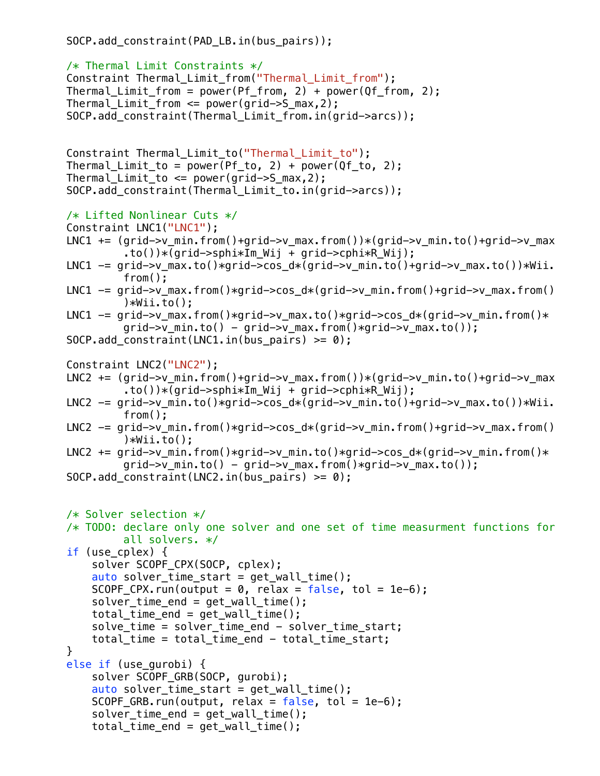```
 SOCP.add_constraint(PAD_LB.in(bus_pairs));
```

```
 /* Thermal Limit Constraints */
Constraint Thermal Limit from("Thermal Limit from");
Thermal_Limit_from = power(Pf_from, 2) + power(Qf_from, 2);Thermal Limit from \leq power(grid->S max, 2);
SOCP.add constraint(Thermal Limit from.in(grid->arcs));
 Constraint Thermal_Limit_to("Thermal_Limit_to");
Thermal\_Limit_to = power(Pf_to, 2) + power(Qf_to, 2);Thermal Limit to \leq power(grid->S max, 2);
 SOCP.add_constraint(Thermal_Limit_to.in(grid->arcs));
 /* Lifted Nonlinear Cuts */
 Constraint LNC1("LNC1");
LNC1 += (grid->v min.from()+grid->v max.from())*(grid->v min.to()+grid->v max
         \cdotto())*(qrid->sphi*\mathbb{I}m Wij + qrid->cphi*\mathbb{R} Wij);
LNC1 - qrid->v max.to()*grid->cos d*(grid->v min.to()+grid->v max.to())*Wii.
         from();
LNC1 -= grid->v_max.from()*grid->cos_d*(grid->v_min.from()+grid->v_max.from()
         )*Wii.to();LNC1 - qrid->v_max.from()*grid->v_max.to()*grid->cos_d*(grid->v_min.from()*
         qrid->v_min.to() - qrid->v_max.from()*grid->v_max.to());
SOCP.add constraint(LNC1.in(bus pairs) >= 0);
 Constraint LNC2("LNC2");
LNC2 += (qrid \rightarrow vmin.from() +grid \rightarrow vmax.from())*(grid \rightarrow vmin.to() +grid \rightarrow vmax.to())*(grid->sphi*Im Wij + grid->cphi*R Wij);
LNC2 - qrid->v min.to()*grid->cos d*(grid->v min.to()+grid->v max.to())*Wii.
         from();
LNC2 - grid->v_min.from()*grid->cos_d*(grid->v_min.from()+grid->v_max.from()
         )*Wii.to();
LNC2 += grid->v_min.from()*grid->v_min.to()*grid->cos_d*(grid->v_min.from()*
         grid->v_min.to() - grid->v_max.from()*grid->v_max.to());
SOCP.add_{constraint}(LNC2.in(bus_{pairs}) \ge 0); /* Solver selection */
 /* TODO: declare only one solver and one set of time measurment functions for 
         all solvers. */
 if (use_cplex) {
     solver SCOPF_CPX(SOCP, cplex);
    auto solver_time_start = get_wall_time();
    SCOPF CPX.run(output = 0, relax = false, tol = 1e-6);
    solver time end = get wall time();
    total_time\_end = get\_wall_time();
     solve_time = solver_time_end - solver_time_start;
     total_time = total_time_end - total_time_start;
 }
 else if (use_gurobi) {
     solver SCOPF_GRB(SOCP, gurobi);
    auto solver_time_start = get_wall_time();
    SCOPF_GRB.run(output, relax = false, tol = 1e-6);solver_time\_end = get\_wall_time();
    total_time\_end = get\_wall_time();
```